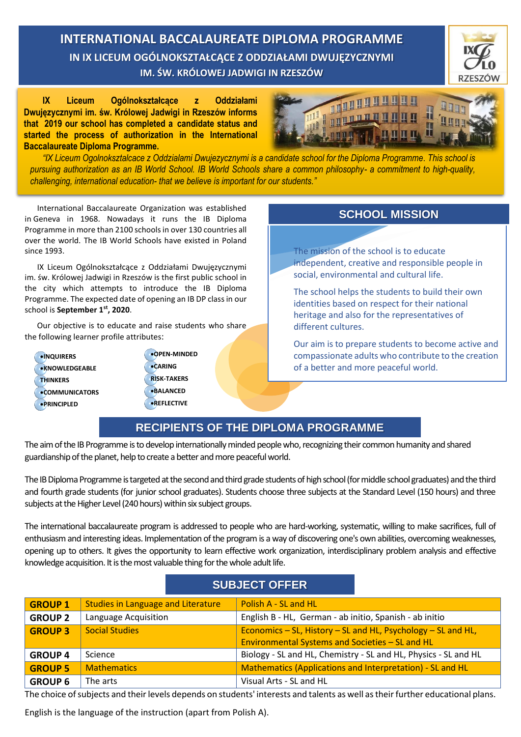**INTERNATIONAL BACCALAUREATE DIPLOMA PROGRAMME IN IX LICEUM OGÓLNOKSZTAŁCĄCE Z ODDZIAŁAMI DWUJĘZYCZNYMI IM. ŚW. KRÓLOWEJ JADWIGI IN RZESZÓW**



**IX Liceum Ogólnokształcące z Oddziałami Dwujęzycznymi im. św. Królowej Jadwigi in Rzeszów informs that 2019 our school has completed a candidate status and started the process of authorization in the International Baccalaureate Diploma Programme.**



*"IX Liceum Ogolnoksztalcace z Oddzialami Dwujezycznymi is a candidate school for the Diploma Programme. This school is pursuing authorization as an IB World School. IB World Schools share a common philosophy- a commitment to high-quality, challenging, international education- that we believe is important for our students."*

International Baccalaureate Organization was established in Geneva in 1968. Nowadays it runs the IB Diploma Programme in more than 2100 schools in over 130 countries all over the world. The IB World Schools have existed in Poland since 1993.

IX Liceum Ogólnokształcące z Oddziałami Dwujęzycznymi im. św. Królowej Jadwigi in Rzeszów is the first public school in the city which attempts to introduce the IB Diploma Programme. The expected date of opening an IB DP class in our school is **September 1st , 2020**.

Our objective is to educate and raise students who share the following learner profile attributes:

- **INQUIRERS \*KNOWLEDGEABLE THINKERS COMMUNICATORS PRINCIPLED**
- **OPEN-MINDED CARING RISK-TAKERS BALANCED REFLECTIVE**

# **SCHOOL MISSION**

The mission of the school is to educate independent, creative and responsible people in social, environmental and cultural life.

The school helps the students to build their own identities based on respect for their national heritage and also for the representatives of different cultures.

Our aim is to prepare students to become active and compassionate adults who contribute to the creation of a better and more peaceful world.

## **RECIPIENTS OF THE DIPLOMA PROGRAMME**

The aim of the IB Programme is to develop internationally minded people who, recognizing their common humanity and shared guardianship of the planet, help to create a better and more peaceful world.

The IB Diploma Programme is targeted at the second and third grade students of high school (for middle school graduates) and the third and fourth grade students (for junior school graduates). Students choose three subjects at the Standard Level (150 hours) and three subjects at the Higher Level (240 hours) within six subject groups.

The international baccalaureate program is addressed to people who are hard-working, systematic, willing to make sacrifices, full of enthusiasm and interesting ideas. Implementation of the program is a way of discovering one's own abilities, overcoming weaknesses, opening up to others. It gives the opportunity to learn effective work organization, interdisciplinary problem analysis and effective knowledge acquisition. It is the most valuable thing for the whole adult life.

| <b>SUBJECT OFFER</b> |                                           |                                                                                                                 |
|----------------------|-------------------------------------------|-----------------------------------------------------------------------------------------------------------------|
| <b>GROUP 1</b>       | <b>Studies in Language and Literature</b> | Polish A - SL and HL                                                                                            |
| <b>GROUP 2</b>       | Language Acquisition                      | English B - HL, German - ab initio, Spanish - ab initio                                                         |
| <b>GROUP 3</b>       | <b>Social Studies</b>                     | Economics - SL, History - SL and HL, Psychology - SL and HL,<br>Environmental Systems and Societies - SL and HL |
| <b>GROUP 4</b>       | Science                                   | Biology - SL and HL, Chemistry - SL and HL, Physics - SL and HL                                                 |
| <b>GROUP 5</b>       | <b>Mathematics</b>                        | Mathematics (Applications and Interpretation) - SL and HL                                                       |
| <b>GROUP 6</b>       | The arts                                  | Visual Arts - SL and HL                                                                                         |

The choice of subjects and their levels depends on students' interests and talents as well as their further educational plans.

English is the language of the instruction (apart from Polish A).